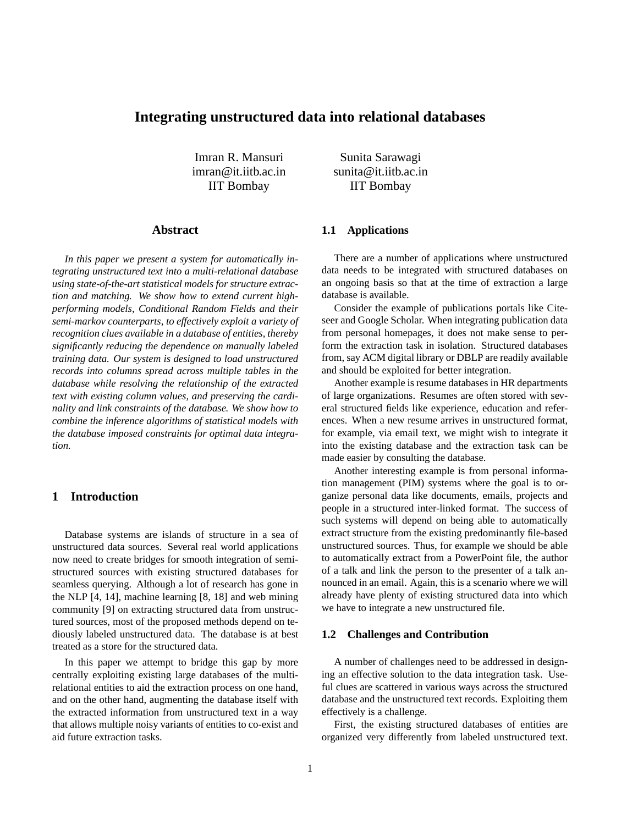# **Integrating unstructured data into relational databases**

Imran R. Mansuri imran@it.iitb.ac.in IIT Bombay

**Abstract**

*In this paper we present a system for automatically integrating unstructured text into a multi-relational database using state-of-the-art statistical models for structure extraction and matching. We show how to extend current highperforming models, Conditional Random Fields and their semi-markov counterparts, to effectively exploit a variety of recognition clues available in a database of entities, thereby significantly reducing the dependence on manually labeled training data. Our system is designed to load unstructured records into columns spread across multiple tables in the database while resolving the relationship of the extracted text with existing column values, and preserving the cardinality and link constraints of the database. We show how to combine the inference algorithms of statistical models with the database imposed constraints for optimal data integration.*

## **1 Introduction**

Database systems are islands of structure in a sea of unstructured data sources. Several real world applications now need to create bridges for smooth integration of semistructured sources with existing structured databases for seamless querying. Although a lot of research has gone in the NLP [4, 14], machine learning [8, 18] and web mining community [9] on extracting structured data from unstructured sources, most of the proposed methods depend on tediously labeled unstructured data. The database is at best treated as a store for the structured data.

In this paper we attempt to bridge this gap by more centrally exploiting existing large databases of the multirelational entities to aid the extraction process on one hand, and on the other hand, augmenting the database itself with the extracted information from unstructured text in a way that allows multiple noisy variants of entities to co-exist and aid future extraction tasks.

Sunita Sarawagi sunita@it.iitb.ac.in IIT Bombay

### **1.1 Applications**

There are a number of applications where unstructured data needs to be integrated with structured databases on an ongoing basis so that at the time of extraction a large database is available.

Consider the example of publications portals like Citeseer and Google Scholar. When integrating publication data from personal homepages, it does not make sense to perform the extraction task in isolation. Structured databases from, say ACM digital library or DBLP are readily available and should be exploited for better integration.

Another example is resume databases in HR departments of large organizations. Resumes are often stored with several structured fields like experience, education and references. When a new resume arrives in unstructured format, for example, via email text, we might wish to integrate it into the existing database and the extraction task can be made easier by consulting the database.

Another interesting example is from personal information management (PIM) systems where the goal is to organize personal data like documents, emails, projects and people in a structured inter-linked format. The success of such systems will depend on being able to automatically extract structure from the existing predominantly file-based unstructured sources. Thus, for example we should be able to automatically extract from a PowerPoint file, the author of a talk and link the person to the presenter of a talk announced in an email. Again, this is a scenario where we will already have plenty of existing structured data into which we have to integrate a new unstructured file.

#### **1.2 Challenges and Contribution**

A number of challenges need to be addressed in designing an effective solution to the data integration task. Useful clues are scattered in various ways across the structured database and the unstructured text records. Exploiting them effectively is a challenge.

First, the existing structured databases of entities are organized very differently from labeled unstructured text.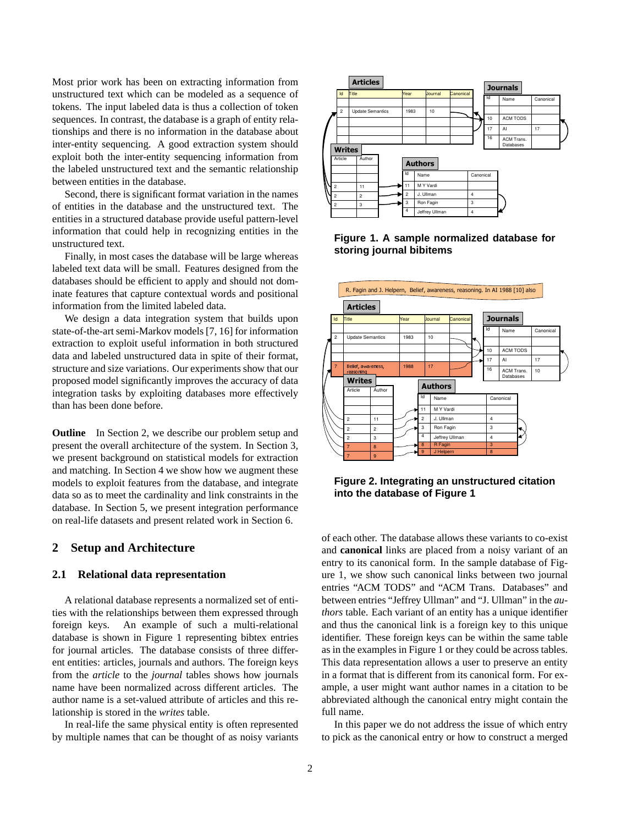Most prior work has been on extracting information from unstructured text which can be modeled as a sequence of tokens. The input labeled data is thus a collection of token sequences. In contrast, the database is a graph of entity relationships and there is no information in the database about inter-entity sequencing. A good extraction system should exploit both the inter-entity sequencing information from the labeled unstructured text and the semantic relationship between entities in the database.

Second, there is significant format variation in the names of entities in the database and the unstructured text. The entities in a structured database provide useful pattern-level information that could help in recognizing entities in the unstructured text.

Finally, in most cases the database will be large whereas labeled text data will be small. Features designed from the databases should be efficient to apply and should not dominate features that capture contextual words and positional information from the limited labeled data.

We design a data integration system that builds upon state-of-the-art semi-Markov models [7, 16] for information extraction to exploit useful information in both structured data and labeled unstructured data in spite of their format, structure and size variations. Our experiments show that our proposed model significantly improves the accuracy of data integration tasks by exploiting databases more effectively than has been done before.

**Outline** In Section 2, we describe our problem setup and present the overall architecture of the system. In Section 3, we present background on statistical models for extraction and matching. In Section 4 we show how we augment these models to exploit features from the database, and integrate data so as to meet the cardinality and link constraints in the database. In Section 5, we present integration performance on real-life datasets and present related work in Section 6.

## **2 Setup and Architecture**

#### **2.1 Relational data representation**

A relational database represents a normalized set of entities with the relationships between them expressed through foreign keys. An example of such a multi-relational database is shown in Figure 1 representing bibtex entries for journal articles. The database consists of three different entities: articles, journals and authors. The foreign keys from the *article* to the *journal* tables shows how journals name have been normalized across different articles. The author name is a set-valued attribute of articles and this relationship is stored in the *writes* table.

In real-life the same physical entity is often represented by multiple names that can be thought of as noisy variants



**Figure 1. A sample normalized database for storing journal bibitems**



**Figure 2. Integrating an unstructured citation into the database of Figure 1**

of each other. The database allows these variants to co-exist and **canonical** links are placed from a noisy variant of an entry to its canonical form. In the sample database of Figure 1, we show such canonical links between two journal entries "ACM TODS" and "ACM Trans. Databases" and between entries "Jeffrey Ullman" and "J. Ullman" in the *authors* table. Each variant of an entity has a unique identifier and thus the canonical link is a foreign key to this unique identifier. These foreign keys can be within the same table as in the examples in Figure 1 or they could be across tables. This data representation allows a user to preserve an entity in a format that is different from its canonical form. For example, a user might want author names in a citation to be abbreviated although the canonical entry might contain the full name.

In this paper we do not address the issue of which entry to pick as the canonical entry or how to construct a merged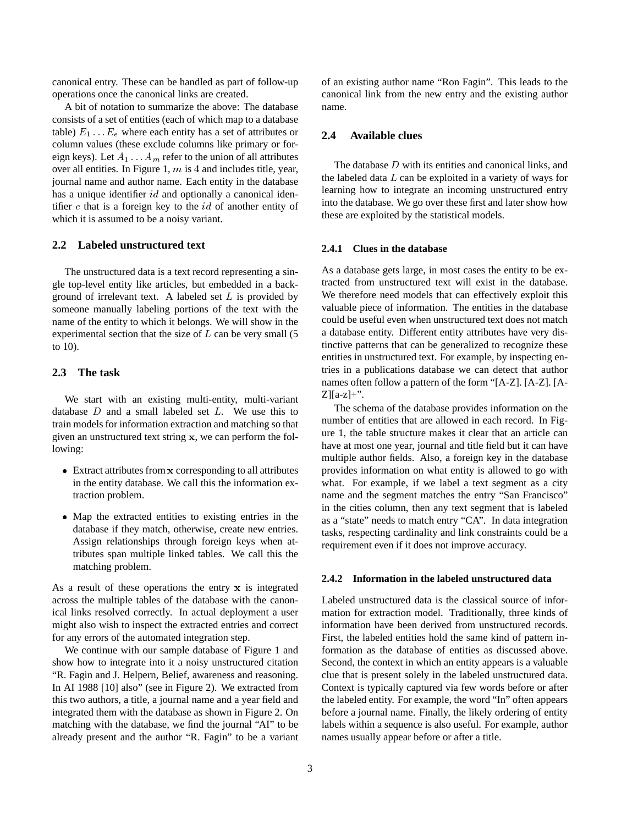canonical entry. These can be handled as part of follow-up operations once the canonical links are created.

A bit of notation to summarize the above: The database consists of a set of entities (each of which map to a database table)  $E_1 \ldots E_e$  where each entity has a set of attributes or column values (these exclude columns like primary or foreign keys). Let  $A_1 \ldots A_m$  refer to the union of all attributes over all entities. In Figure 1,  $m$  is 4 and includes title, year, journal name and author name. Each entity in the database has a unique identifier id and optionally a canonical identifier  $c$  that is a foreign key to the  $id$  of another entity of which it is assumed to be a noisy variant.

### **2.2 Labeled unstructured text**

The unstructured data is a text record representing a single top-level entity like articles, but embedded in a background of irrelevant text. A labeled set  $L$  is provided by someone manually labeling portions of the text with the name of the entity to which it belongs. We will show in the experimental section that the size of  $L$  can be very small  $(5)$ to 10).

### **2.3 The task**

We start with an existing multi-entity, multi-variant database  $D$  and a small labeled set  $L$ . We use this to train models for information extraction and matching so that given an unstructured text string <sup>x</sup>, we can perform the following:

- Extract attributes from <sup>x</sup> corresponding to all attributes in the entity database. We call this the information extraction problem.
- Map the extracted entities to existing entries in the database if they match, otherwise, create new entries. Assign relationships through foreign keys when attributes span multiple linked tables. We call this the matching problem.

As a result of these operations the entry <sup>x</sup> is integrated across the multiple tables of the database with the canonical links resolved correctly. In actual deployment a user might also wish to inspect the extracted entries and correct for any errors of the automated integration step.

We continue with our sample database of Figure 1 and show how to integrate into it a noisy unstructured citation "R. Fagin and J. Helpern, Belief, awareness and reasoning. In AI 1988 [10] also" (see in Figure 2). We extracted from this two authors, a title, a journal name and a year field and integrated them with the database as shown in Figure 2. On matching with the database, we find the journal "AI" to be already present and the author "R. Fagin" to be a variant of an existing author name "Ron Fagin". This leads to the canonical link from the new entry and the existing author name.

### **2.4 Available clues**

The database D with its entities and canonical links, and the labeled data  $L$  can be exploited in a variety of ways for learning how to integrate an incoming unstructured entry into the database. We go over these first and later show how these are exploited by the statistical models.

### **2.4.1 Clues in the database**

As a database gets large, in most cases the entity to be extracted from unstructured text will exist in the database. We therefore need models that can effectively exploit this valuable piece of information. The entities in the database could be useful even when unstructured text does not match a database entity. Different entity attributes have very distinctive patterns that can be generalized to recognize these entities in unstructured text. For example, by inspecting entries in a publications database we can detect that author names often follow a pattern of the form "[A-Z]. [A-Z]. [A- $Z$ [[a-z]+".

The schema of the database provides information on the number of entities that are allowed in each record. In Figure 1, the table structure makes it clear that an article can have at most one year, journal and title field but it can have multiple author fields. Also, a foreign key in the database provides information on what entity is allowed to go with what. For example, if we label a text segment as a city name and the segment matches the entry "San Francisco" in the cities column, then any text segment that is labeled as a "state" needs to match entry "CA". In data integration tasks, respecting cardinality and link constraints could be a requirement even if it does not improve accuracy.

### **2.4.2 Information in the labeled unstructured data**

Labeled unstructured data is the classical source of information for extraction model. Traditionally, three kinds of information have been derived from unstructured records. First, the labeled entities hold the same kind of pattern information as the database of entities as discussed above. Second, the context in which an entity appears is a valuable clue that is present solely in the labeled unstructured data. Context is typically captured via few words before or after the labeled entity. For example, the word "In" often appears before a journal name. Finally, the likely ordering of entity labels within a sequence is also useful. For example, author names usually appear before or after a title.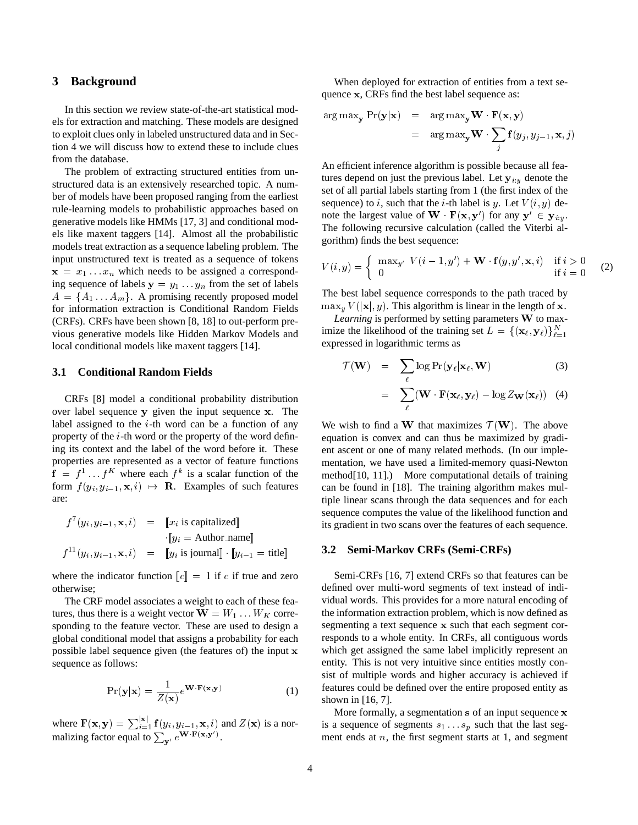### **3 Background**

In this section we review state-of-the-art statistical models for extraction and matching. These models are designed to exploit clues only in labeled unstructured data and in Section 4 we will discuss how to extend these to include clues from the database.

The problem of extracting structured entities from unstructured data is an extensively researched topic. A number of models have been proposed ranging from the earliest rule-learning models to probabilistic approaches based on generative models like HMMs [17, 3] and conditional models like maxent taggers [14]. Almost all the probabilistic models treat extraction as a sequence labeling problem. The input unstructured text is treated as a sequence of tokens  $x = x_1 \dots x_n$  which needs to be assigned a corresponding sequence of labels  $y = y_1 \dots y_n$  from the set of labels  $A = \{A_1 \ldots A_m\}$ . A promising recently proposed model for information extraction is Conditional Random Fields (CRFs). CRFs have been shown [8, 18] to out-perform previous generative models like Hidden Markov Models and local conditional models like maxent taggers [14].

### **3.1 Conditional Random Fields**

CRFs [8] model a conditional probability distribution over label sequence <sup>y</sup> given the input sequence <sup>x</sup>. The label assigned to the  $i$ -th word can be a function of any property of the  $i$ -th word or the property of the word defining its context and the label of the word before it. These properties are represented as a vector of feature functions  $f = f^1 \dots f^K$  where each  $f^k$  is a scalar function of the form  $f(y_i, y_{i-1}, \mathbf{x}, i) \mapsto \mathbf{R}$ . Examples of such features are:

$$
f^{7}(y_{i}, y_{i-1}, \mathbf{x}, i) = \llbracket x_{i} \text{ is capitalized} \rrbracket
$$

$$
\cdot \llbracket y_{i} = \text{Author_name} \rrbracket
$$

$$
f^{11}(y_{i}, y_{i-1}, \mathbf{x}, i) = \llbracket y_{i} \text{ is journal} \rrbracket \cdot \llbracket y_{i-1} = \text{title} \rrbracket
$$

where the indicator function  $\llbracket c \rrbracket = 1$  if c if true and zero otherwise;

The CRF model associates a weight to each of these features, thus there is a weight vector  $\mathbf{W} = W_1 \dots W_K$  corresponding to the feature vector. These are used to design a global conditional model that assigns a probability for each possible label sequence given (the features of) the input <sup>x</sup> sequence as follows:

$$
\Pr(\mathbf{y}|\mathbf{x}) = \frac{1}{Z(\mathbf{x})}e^{\mathbf{W} \cdot \mathbf{F}(\mathbf{x}, \mathbf{y})}
$$
(1)

where  $\mathbf{F}(\mathbf{x}, \mathbf{y}) = \sum_{i=1}^{|\mathbf{x}|} \mathbf{f}(y_i, y_{i-1}, \mathbf{x}, i)$  and  $Z(\mathbf{x})$  is a normalizing factor equal to  $\sum_{\mathbf{y}'} e^{\mathbf{W} \cdot \mathbf{F}(\mathbf{x}, \mathbf{y}')}$ .

When deployed for extraction of entities from a text sequence <sup>x</sup>, CRFs find the best label sequence as:

$$
\arg \max_{\mathbf{y}} \Pr(\mathbf{y}|\mathbf{x}) = \arg \max_{\mathbf{y}} \mathbf{W} \cdot \mathbf{F}(\mathbf{x}, \mathbf{y})
$$

$$
= \arg \max_{\mathbf{y}} \mathbf{W} \cdot \sum_{j} \mathbf{f}(y_j, y_{j-1}, \mathbf{x}, j)
$$

An efficient inference algorithm is possible because all features depend on just the previous label. Let  $y_{i:u}$  denote the set of all partial labels starting from 1 (the first index of the sequence) to i, such that the *i*-th label is y. Let  $V(i, y)$  denote the largest value of  $\mathbf{W} \cdot \mathbf{F}(\mathbf{x}, \mathbf{y}')$  for any  $\mathbf{y}' \in \mathbf{y}_{i:y}$ . The following recursive calculation (called the Viterbi algorithm) finds the best sequence:

$$
V(i, y) = \begin{cases} \max_{y'} V(i - 1, y') + \mathbf{W} \cdot \mathbf{f}(y, y', \mathbf{x}, i) & \text{if } i > 0 \\ 0 & \text{if } i = 0 \end{cases}
$$
 (2)

The best label sequence corresponds to the path traced by  $\max_{y} V(|\mathbf{x}|, y)$ . This algorithm is linear in the length of x.

*Learning* is performed by setting parameters <sup>W</sup> to maximize the likelihood of the training set  $L = \{(\mathbf{x}_\ell, \mathbf{y}_\ell)\}_{\ell=1}^N$ expressed in logarithmic terms as

$$
\mathcal{T}(\mathbf{W}) = \sum_{\ell} \log \Pr(\mathbf{y}_{\ell} | \mathbf{x}_{\ell}, \mathbf{W})
$$
(3)  

$$
= \sum_{\ell} (\mathbf{W} \cdot \mathbf{F}(\mathbf{x}_{\ell}, \mathbf{y}_{\ell}) - \log Z_{\mathbf{W}}(\mathbf{x}_{\ell}))
$$
(4)

We wish to find a W that maximizes  $\mathcal{T}(\mathbf{W})$ . The above equation is convex and can thus be maximized by gradient ascent or one of many related methods. (In our implementation, we have used a limited-memory quasi-Newton method[10, 11].) More computational details of training can be found in [18]. The training algorithm makes multiple linear scans through the data sequences and for each sequence computes the value of the likelihood function and its gradient in two scans over the features of each sequence.

#### **3.2 Semi-Markov CRFs (Semi-CRFs)**

 $\ddot{\phantom{0}}$ 

Semi-CRFs [16, 7] extend CRFs so that features can be defined over multi-word segments of text instead of individual words. This provides for a more natural encoding of the information extraction problem, which is now defined as segmenting a text sequence <sup>x</sup> such that each segment corresponds to a whole entity. In CRFs, all contiguous words which get assigned the same label implicitly represent an entity. This is not very intuitive since entities mostly consist of multiple words and higher accuracy is achieved if features could be defined over the entire proposed entity as shown in [16, 7].

More formally, a segmentation <sup>s</sup> of an input sequence <sup>x</sup> is a sequence of segments  $s_1 \ldots s_p$  such that the last segment ends at  $n$ , the first segment starts at 1, and segment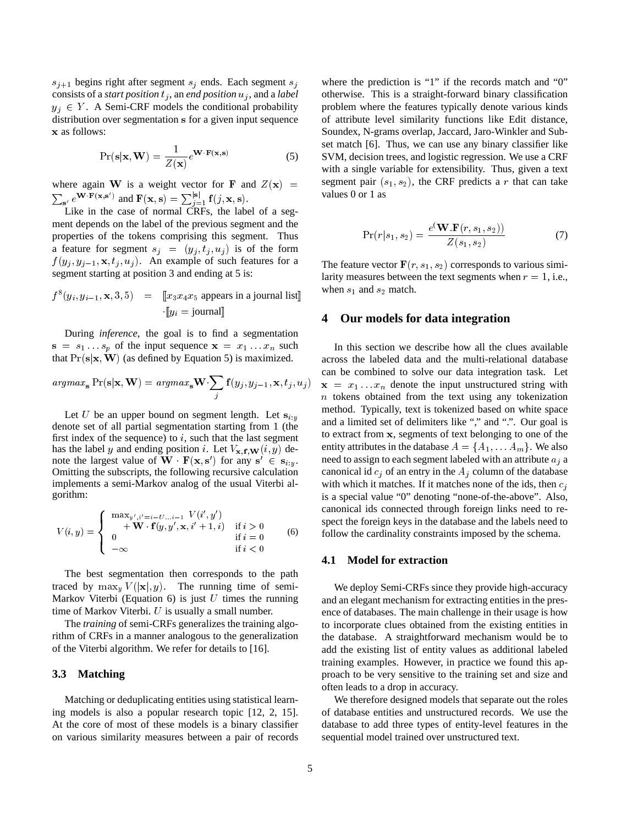$s_{i+1}$  begins right after segment  $s_i$  ends. Each segment  $s_i$ consists of a *start position*  $t_j$ , an *end position*  $u_j$ , and a *label*  $y_i \in Y$ . A Semi-CRF models the conditional probability distribution over segmentation <sup>s</sup> for a given input sequence <sup>x</sup> as follows:

$$
\Pr(\mathbf{s}|\mathbf{x}, \mathbf{W}) = \frac{1}{Z(\mathbf{x})} e^{\mathbf{W} \cdot \mathbf{F}(\mathbf{x}, \mathbf{s})}
$$
(5)

where again W is a weight vector for F and  $Z(\mathbf{x})$  =  $\sum_{\mathbf{s}'} e^{\mathbf{W} \cdot \mathbf{F}(\mathbf{x}, \mathbf{s}')}$  and  $\mathbf{F}(\mathbf{x}, \mathbf{s}) = \sum_{j=1}^{|\mathbf{s}|} \mathbf{f}(j, \mathbf{x}, \mathbf{s}).$ 

Like in the case of normal CRFs, the label of a segment depends on the label of the previous segment and the properties of the tokens comprising this segment. Thus a feature for segment  $s_j = (y_j, t_j, u_j)$  is of the form  $f(y_j, y_{j-1}, \mathbf{x}, t_j, u_j)$ . An example of such features for a segment starting at position 3 and ending at 5 is:

$$
f^{8}(y_{i}, y_{i-1}, \mathbf{x}, 3, 5) = \llbracket x_{3} x_{4} x_{5} \text{ appears in a journal list} \rrbracket
$$

$$
\cdot \llbracket y_{i} = \text{journal} \rrbracket
$$

During *inference*, the goal is to find a segmentation  $s = s_1 \dots s_p$  of the input sequence  $x = x_1 \dots x_n$  such that  $Pr(s|\mathbf{x}, \mathbf{W})$  (as defined by Equation 5) is maximized.

$$
argmax_{\mathbf{s}} \Pr(\mathbf{s}|\mathbf{x}, \mathbf{W}) = argmax_{\mathbf{s}} \mathbf{W} \sum_{j} \mathbf{f}(y_j, y_{j-1}, \mathbf{x}, t_j, u_j)
$$

Let U be an upper bound on segment length. Let  $s_{i:y}$ denote set of all partial segmentation starting from 1 (the first index of the sequence) to  $i$ , such that the last segment has the label y and ending position i. Let  $V_{\mathbf{x}, \mathbf{f}, \mathbf{W}}(i, y)$  denote the largest value of **W**  $\mathbf{F}(\mathbf{x}, \mathbf{s}')$  for any  $\mathbf{s}' \in \mathbf{s}_{i:y}$ .<br>Consiting the subscripts the following requiring adduction Omitting the subscripts, the following recursive calculation implements a semi-Markov analog of the usual Viterbi algorithm:

$$
V(i, y) = \begin{cases} \max_{y', i' = i - U...i - 1} V(i', y') \\ + \mathbf{W} \cdot \mathbf{f}(y, y', \mathbf{x}, i' + 1, i) & \text{if } i > 0 \\ 0 & \text{if } i = 0 \\ -\infty & \text{if } i < 0 \end{cases}
$$
 (6)

The best segmentation then corresponds to the path traced by  $\max_{y} V(|\mathbf{x}|, y)$ . The running time of semi-Markov Viterbi (Equation 6) is just  $U$  times the running time of Markov Viterbi.  $U$  is usually a small number.

The *training* of semi-CRFs generalizes the training algorithm of CRFs in a manner analogous to the generalization of the Viterbi algorithm. We refer for details to [16].

### **3.3 Matching**

Matching or deduplicating entities using statistical learning models is also a popular research topic [12, 2, 15]. At the core of most of these models is a binary classifier on various similarity measures between a pair of records

where the prediction is "1" if the records match and "0" otherwise. This is a straight-forward binary classification problem where the features typically denote various kinds of attribute level similarity functions like Edit distance, Soundex, N-grams overlap, Jaccard, Jaro-Winkler and Subset match [6]. Thus, we can use any binary classifier like SVM, decision trees, and logistic regression. We use a CRF with a single variable for extensibility. Thus, given a text segment pair  $(s_1, s_2)$ , the CRF predicts a r that can take values 0 or 1 as

$$
Pr(r|s_1, s_2) = \frac{e(\mathbf{W}.\mathbf{F}(r, s_1, s_2))}{Z(s_1, s_2)}
$$
(7)

The feature vector  $\mathbf{F}(r, s_1, s_2)$  corresponds to various similarity measures between the text segments when  $r = 1$ , i.e., when  $s_1$  and  $s_2$  match.

#### **4 Our models for data integration**

In this section we describe how all the clues available across the labeled data and the multi-relational database can be combined to solve our data integration task. Let  $x = x_1 \ldots x_n$  denote the input unstructured string with  $n$  tokens obtained from the text using any tokenization method. Typically, text is tokenized based on white space and a limited set of delimiters like "," and ".". Our goal is to extract from <sup>x</sup>, segments of text belonging to one of the entity attributes in the database  $A = \{A_1, \ldots, A_m\}$ . We also need to assign to each segment labeled with an attribute  $a_j$  a canonical id  $c_i$  of an entry in the  $A_i$  column of the database with which it matches. If it matches none of the ids, then  $c_i$ is a special value "0" denoting "none-of-the-above". Also, canonical ids connected through foreign links need to respect the foreign keys in the database and the labels need to follow the cardinality constraints imposed by the schema.

#### **4.1 Model for extraction**

We deploy Semi-CRFs since they provide high-accuracy and an elegant mechanism for extracting entities in the presence of databases. The main challenge in their usage is how to incorporate clues obtained from the existing entities in the database. A straightforward mechanism would be to add the existing list of entity values as additional labeled training examples. However, in practice we found this approach to be very sensitive to the training set and size and often leads to a drop in accuracy.

We therefore designed models that separate out the roles of database entities and unstructured records. We use the database to add three types of entity-level features in the sequential model trained over unstructured text.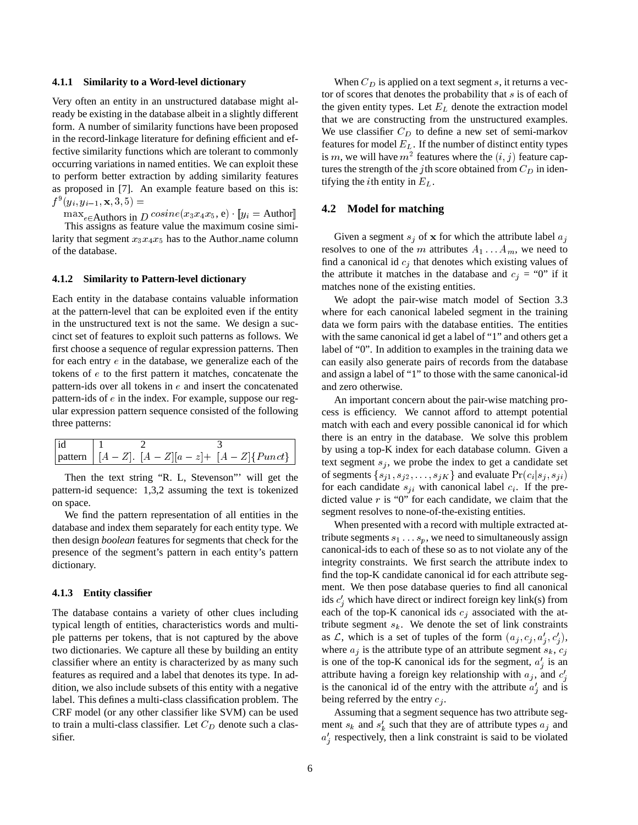#### **4.1.1 Similarity to a Word-level dictionary**

Very often an entity in an unstructured database might already be existing in the database albeit in a slightly different form. A number of similarity functions have been proposed in the record-linkage literature for defining efficient and effective similarity functions which are tolerant to commonly occurring variations in named entities. We can exploit these to perform better extraction by adding similarity features as proposed in [7]. An example feature based on this is:  $f^9(y_i, y_{i-1}, \mathbf{x}, 3, 5) =$ 

 $\max_{e \in$  Authors in *D* cosine(x<sub>3</sub>x<sub>4</sub>x<sub>5</sub>, e)  $[y_i =$  Author

This assigns as feature value the maximum cosine similarity that segment  $x_3x_4x_5$  has to the Author name column of the database.

### **4.1.2 Similarity to Pattern-level dictionary**

Each entity in the database contains valuable information at the pattern-level that can be exploited even if the entity in the unstructured text is not the same. We design a succinct set of features to exploit such patterns as follows. We first choose a sequence of regular expression patterns. Then for each entry  $e$  in the database, we generalize each of the tokens of <sup>e</sup> to the first pattern it matches, concatenate the pattern-ids over all tokens in  $e$  and insert the concatenated pattern-ids of <sup>e</sup> in the index. For example, suppose our regular expression pattern sequence consisted of the following three patterns:

| id |  |                                                             |
|----|--|-------------------------------------------------------------|
|    |  | pattern   $[A - Z]$ . $[A - Z][a - z]$ + $[A - Z]\$ Punct } |

Then the text string "R. L, Stevenson"' will get the pattern-id sequence: 1,3,2 assuming the text is tokenized on space.

We find the pattern representation of all entities in the database and index them separately for each entity type. We then design *boolean* features for segments that check for the presence of the segment's pattern in each entity's pattern dictionary.

#### **4.1.3 Entity classifier**

The database contains a variety of other clues including typical length of entities, characteristics words and multiple patterns per tokens, that is not captured by the above two dictionaries. We capture all these by building an entity classifier where an entity is characterized by as many such features as required and a label that denotes its type. In addition, we also include subsets of this entity with a negative label. This defines a multi-class classification problem. The CRF model (or any other classifier like SVM) can be used to train a multi-class classifier. Let  $C_D$  denote such a classifier.

When  $C_D$  is applied on a text segment s, it returns a vector of scores that denotes the probability that s is of each of the given entity types. Let  $E_L$  denote the extraction model that we are constructing from the unstructured examples. We use classifier  $C_D$  to define a new set of semi-markov features for model  $E_L$ . If the number of distinct entity types is m, we will have  $m^2$  features where the  $(i, j)$  feature captures the strength of the jth score obtained from  $C_D$  in identifying the *i*th entity in  $E_L$ .

### **4.2 Model for matching**

Given a segment  $s_j$  of x for which the attribute label  $a_j$ resolves to one of the m attributes  $A_1 \ldots A_m$ , we need to find a canonical id  $c_i$  that denotes which existing values of the attribute it matches in the database and  $c_i = "0"$  if it matches none of the existing entities.

We adopt the pair-wise match model of Section 3.3 where for each canonical labeled segment in the training data we form pairs with the database entities. The entities with the same canonical id get a label of "1" and others get a label of "0". In addition to examples in the training data we can easily also generate pairs of records from the database and assign a label of "1" to those with the same canonical-id and zero otherwise.

An important concern about the pair-wise matching process is efficiency. We cannot afford to attempt potential match with each and every possible canonical id for which there is an entry in the database. We solve this problem by using a top-K index for each database column. Given a text segment  $s_j$ , we probe the index to get a candidate set of segments  $\{s_{j1}, s_{j2}, \ldots, s_{jK}\}$  and evaluate  $Pr(c_i|s_j, s_{ji})$ for each candidate  $s_{ji}$  with canonical label  $c_i$ . If the predicted value  $r$  is "0" for each candidate, we claim that the segment resolves to none-of-the-existing entities.

When presented with a record with multiple extracted attribute segments  $s_1 \ldots s_p$ , we need to simultaneously assign canonical-ids to each of these so as to not violate any of the integrity constraints. We first search the attribute index to find the top-K candidate canonical id for each attribute segment. We then pose database queries to find all canonical ids  $c'_j$  which have direct or indirect foreign key link(s) from each of the top-K canonical ids  $c_j$  associated with the attribute segment  $s_k$ . We denote the set of link constraints as  $\mathcal{L}$ , which is a set of tuples of the form  $(a_j, c_j, a'_j, c'_j)$ , where  $a_j$  is the attribute type of an attribute segment  $s_k$ ,  $c_j$ is one of the top-K canonical ids for the segment,  $a'_j$  is an  $a''$ attribute having a foreign key relationship with  $a_j$ , and  $c'_j$ is the canonical id of the entry with the attribute  $a'_j$  and is being referred by the entry  $c_i$ .

Assuming that a segment sequence has two attribute segment  $s_k$  and  $s'_k$  such that they are of attribute types  $a_j$  and  $\cdot$  $a'_{j}$  respectively, then a link constraint is said to be violated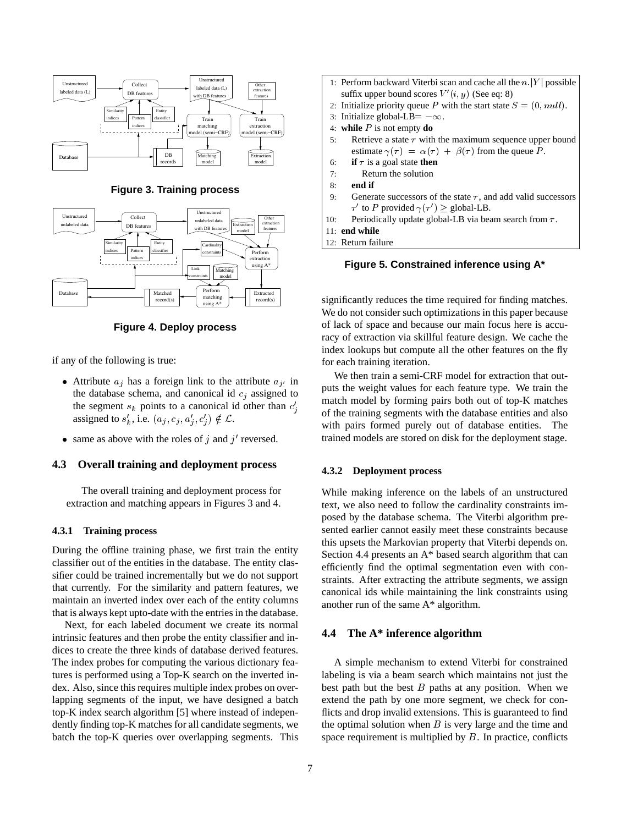

**Figure 3. Training process**



**Figure 4. Deploy process**

if any of the following is true:

- Attribute  $a_j$  has a foreign link to the attribute  $a_{j'}$  in the database schema, and canonical id  $c_j$  assigned to the segment  $s_k$  points to a canonical id other than  $c'_j$ assigned to  $s'_k$ , i.e.  $(a_j, c_j, a'_j, c'_j) \notin \mathcal{L}$ .
- same as above with the roles of j and  $j'$  reversed.

### **4.3 Overall training and deployment process**

The overall training and deployment process for extraction and matching appears in Figures 3 and 4.

### **4.3.1 Training process**

During the offline training phase, we first train the entity classifier out of the entities in the database. The entity classifier could be trained incrementally but we do not support that currently. For the similarity and pattern features, we maintain an inverted index over each of the entity columns that is always kept upto-date with the entries in the database.

Next, for each labeled document we create its normal intrinsic features and then probe the entity classifier and indices to create the three kinds of database derived features. The index probes for computing the various dictionary features is performed using a Top-K search on the inverted index. Also, since this requires multiple index probes on overlapping segments of the input, we have designed a batch top-K index search algorithm [5] where instead of independently finding top-K matches for all candidate segments, we batch the top-K queries over overlapping segments. This

|     | 1: Perform backward Viterbi scan and cache all the $n  Y $ possible    |
|-----|------------------------------------------------------------------------|
|     | suffix upper bound scores $V'(i, y)$ (See eq. 8)                       |
|     | 2. Initialize priority queue P with the start state $S = (0, null)$ .  |
|     | 3: Initialize global-LB= $-\infty$ .                                   |
|     | 4: while $P$ is not empty do                                           |
| 5:  | Retrieve a state $\tau$ with the maximum sequence upper bound          |
|     | estimate $\gamma(\tau) = \alpha(\tau) + \beta(\tau)$ from the queue P. |
|     | <b>if</b> $\tau$ is a goal state <b>then</b><br>6:                     |
| 7:  | Return the solution                                                    |
| 8:  | end if                                                                 |
| 9:  | Generate successors of the state $\tau$ , and add valid successors     |
|     | $\tau'$ to P provided $\gamma(\tau') \ge$ global-LB.                   |
| 10: | Periodically update global-LB via beam search from $\tau$ .            |
|     | $11:$ end while                                                        |
|     | 12: Return failure                                                     |
|     |                                                                        |

**Figure 5. Constrained inference using A\***

significantly reduces the time required for finding matches. We do not consider such optimizations in this paper because of lack of space and because our main focus here is accuracy of extraction via skillful feature design. We cache the index lookups but compute all the other features on the fly for each training iteration.

We then train a semi-CRF model for extraction that outputs the weight values for each feature type. We train the match model by forming pairs both out of top-K matches of the training segments with the database entities and also with pairs formed purely out of database entities. The trained models are stored on disk for the deployment stage.

### **4.3.2 Deployment process**

While making inference on the labels of an unstructured text, we also need to follow the cardinality constraints imposed by the database schema. The Viterbi algorithm presented earlier cannot easily meet these constraints because this upsets the Markovian property that Viterbi depends on. Section 4.4 presents an A\* based search algorithm that can efficiently find the optimal segmentation even with constraints. After extracting the attribute segments, we assign canonical ids while maintaining the link constraints using another run of the same A\* algorithm.

## **4.4 The A\* inference algorithm**

A simple mechanism to extend Viterbi for constrained labeling is via a beam search which maintains not just the best path but the best  $B$  paths at any position. When we extend the path by one more segment, we check for conflicts and drop invalid extensions. This is guaranteed to find the optimal solution when  $B$  is very large and the time and space requirement is multiplied by  $B$ . In practice, conflicts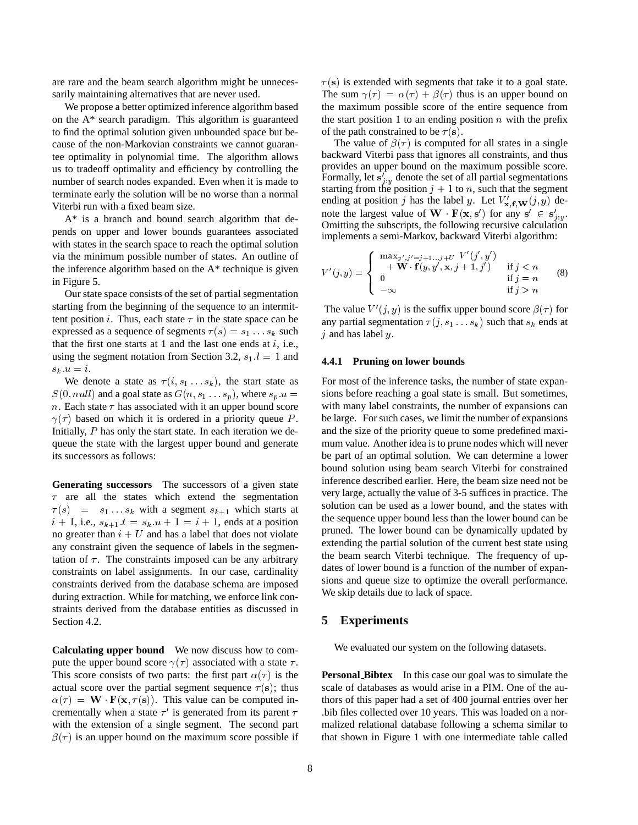are rare and the beam search algorithm might be unnecessarily maintaining alternatives that are never used.

We propose a better optimized inference algorithm based on the A\* search paradigm. This algorithm is guaranteed to find the optimal solution given unbounded space but because of the non-Markovian constraints we cannot guarantee optimality in polynomial time. The algorithm allows us to tradeoff optimality and efficiency by controlling the number of search nodes expanded. Even when it is made to terminate early the solution will be no worse than a normal Viterbi run with a fixed beam size.

A\* is a branch and bound search algorithm that depends on upper and lower bounds guarantees associated with states in the search space to reach the optimal solution via the minimum possible number of states. An outline of the inference algorithm based on the A\* technique is given in Figure 5.

Our state space consists of the set of partial segmentation starting from the beginning of the sequence to an intermittent position *i*. Thus, each state  $\tau$  in the state space can be expressed as a sequence of segments  $\tau(s) = s_1 \dots s_k$  such that the first one starts at 1 and the last one ends at  $i$ , i.e., using the segment notation from Section 3.2,  $s_1$ ,  $l = 1$  and  $s_k u = i.$ 

We denote a state as  $\tau(i, s_1 \ldots s_k)$ , the start state as  $S(0, null)$  and a goal state as  $G(n, s_1 \ldots s_p)$ , where  $s_p u =$ n. Each state  $\tau$  has associated with it an upper bound score  $\gamma(\tau)$  based on which it is ordered in a priority queue P. Initially, P has only the start state. In each iteration we dequeue the state with the largest upper bound and generate its successors as follows:

**Generating successors** The successors of a given state  $\tau$  are all the states which extend the segmentation  $\tau(s)$  =  $s_1 \dots s_k$  with a segment  $s_{k+1}$  which starts at  $i + 1$ , i.e.,  $s_{k+1}$ .  $t = s_k$ .  $u + 1 = i + 1$ , ends at a position no greater than  $i + U$  and has a label that does not violate any constraint given the sequence of labels in the segmentation of  $\tau$ . The constraints imposed can be any arbitrary constraints on label assignments. In our case, cardinality constraints derived from the database schema are imposed during extraction. While for matching, we enforce link constraints derived from the database entities as discussed in Section 4.2.

**Calculating upper bound** We now discuss how to compute the upper bound score  $\gamma(\tau)$  associated with a state  $\tau$ . This score consists of two parts: the first part  $\alpha(\tau)$  is the actual score over the partial segment sequence  $\tau(s)$ ; thus  $\alpha(\tau) = \mathbf{W} \cdot \mathbf{F}(\mathbf{x}, \tau(\mathbf{s}))$ . This value can be computed incrementally when a state  $\tau'$  is generated from its parent  $\tau$ with the extension of a single segment. The second part  $\beta(\tau)$  is an upper bound on the maximum score possible if  $\tau(s)$  is extended with segments that take it to a goal state. The sum  $\gamma(\tau) = \alpha(\tau) + \beta(\tau)$  thus is an upper bound on the maximum possible score of the entire sequence from the start position 1 to an ending position  $n$  with the prefix of the path constrained to be  $\tau(s)$ .

The value of  $\beta(\tau)$  is computed for all states in a single backward Viterbi pass that ignores all constraints, and thus provides an upper bound on the maximum possible score. Formally, let  $s'_{j,y}$  denote the set of all partial segmentations<br>of arting from the position  $i+1$  to n quantitative segment starting from the position  $j + 1$  to n, such that the segment ending at position j has the label y. Let  $V'_{\mathbf{x},\mathbf{f},\mathbf{W}}(j, y)$  denote the largest value of **W**  $\mathbf{F}(\mathbf{x}, \mathbf{s}')$  for any  $\mathbf{s}' \in \mathbf{s}'_{j:y}$ .<br>Consiting the subscripts the following requiring adoptation Omitting the subscripts, the following recursive calculation implements a semi-Markov, backward Viterbi algorithm:

$$
V'(j, y) = \begin{cases} \begin{array}{c} \max_{y', j' = j+1...j+U} V'(j', y') \\ + \mathbf{W} \cdot \mathbf{f}(y, y', \mathbf{x}, j+1, j') & \text{if } j < n \\ 0 & \text{if } j = n \\ -\infty & \text{if } j > n \end{array} \end{cases} \tag{8}
$$

The value  $V'(j, y)$  is the suffix upper bound score  $\beta(\tau)$  for any partial segmentation  $\tau(j, s_1 \ldots s_k)$  such that  $s_k$  ends at  $j$  and has label  $y$ .

#### **4.4.1 Pruning on lower bounds**

For most of the inference tasks, the number of state expansions before reaching a goal state is small. But sometimes, with many label constraints, the number of expansions can be large. For such cases, we limit the number of expansions and the size of the priority queue to some predefined maximum value. Another idea is to prune nodes which will never be part of an optimal solution. We can determine a lower bound solution using beam search Viterbi for constrained inference described earlier. Here, the beam size need not be very large, actually the value of 3-5 suffices in practice. The solution can be used as a lower bound, and the states with the sequence upper bound less than the lower bound can be pruned. The lower bound can be dynamically updated by extending the partial solution of the current best state using the beam search Viterbi technique. The frequency of updates of lower bound is a function of the number of expansions and queue size to optimize the overall performance. We skip details due to lack of space.

#### **5 Experiments**

We evaluated our system on the following datasets.

**Personal Bibtex** In this case our goal was to simulate the scale of databases as would arise in a PIM. One of the authors of this paper had a set of 400 journal entries over her .bib files collected over 10 years. This was loaded on a normalized relational database following a schema similar to that shown in Figure 1 with one intermediate table called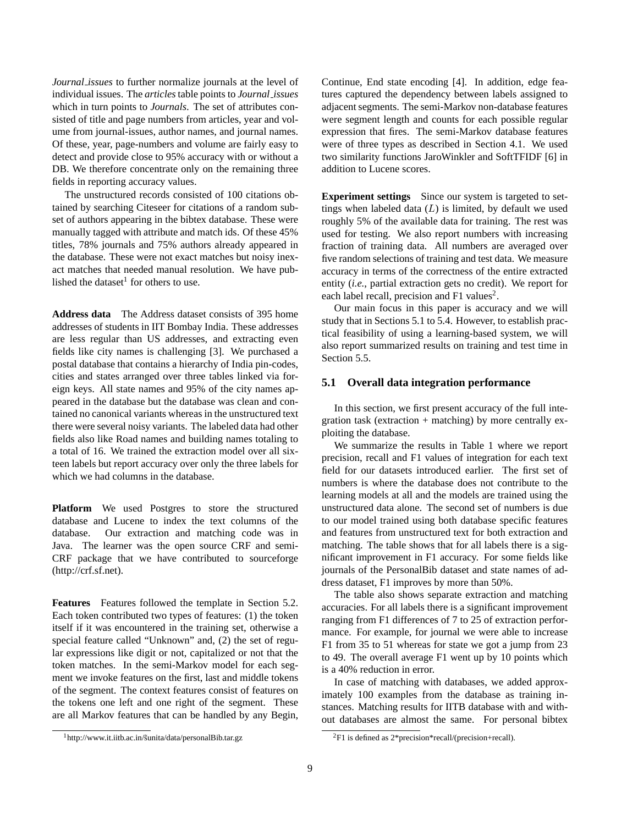*Journal issues* to further normalize journals at the level of individual issues. The *articles* table points to *Journal issues* which in turn points to *Journals*. The set of attributes consisted of title and page numbers from articles, year and volume from journal-issues, author names, and journal names. Of these, year, page-numbers and volume are fairly easy to detect and provide close to 95% accuracy with or without a DB. We therefore concentrate only on the remaining three fields in reporting accuracy values.

The unstructured records consisted of 100 citations obtained by searching Citeseer for citations of a random subset of authors appearing in the bibtex database. These were manually tagged with attribute and match ids. Of these 45% titles, 78% journals and 75% authors already appeared in the database. These were not exact matches but noisy inexact matches that needed manual resolution. We have published the dataset $<sup>1</sup>$  for others to use.</sup>

**Address data** The Address dataset consists of 395 home addresses of students in IIT Bombay India. These addresses are less regular than US addresses, and extracting even fields like city names is challenging [3]. We purchased a postal database that contains a hierarchy of India pin-codes, cities and states arranged over three tables linked via foreign keys. All state names and 95% of the city names appeared in the database but the database was clean and contained no canonical variants whereas in the unstructured text there were several noisy variants. The labeled data had other fields also like Road names and building names totaling to a total of 16. We trained the extraction model over all sixteen labels but report accuracy over only the three labels for which we had columns in the database.

**Platform** We used Postgres to store the structured database and Lucene to index the text columns of the database. Our extraction and matching code was in Java. The learner was the open source CRF and semi-CRF package that we have contributed to sourceforge (http://crf.sf.net).

**Features** Features followed the template in Section 5.2. Each token contributed two types of features: (1) the token itself if it was encountered in the training set, otherwise a special feature called "Unknown" and, (2) the set of regular expressions like digit or not, capitalized or not that the token matches. In the semi-Markov model for each segment we invoke features on the first, last and middle tokens of the segment. The context features consist of features on the tokens one left and one right of the segment. These are all Markov features that can be handled by any Begin,

<sup>1</sup>http://www.it.iitb.ac.in/sunita/data/personalBib.tar.gz ˜

Continue, End state encoding [4]. In addition, edge features captured the dependency between labels assigned to adjacent segments. The semi-Markov non-database features were segment length and counts for each possible regular expression that fires. The semi-Markov database features were of three types as described in Section 4.1. We used two similarity functions JaroWinkler and SoftTFIDF [6] in addition to Lucene scores.

**Experiment settings** Since our system is targeted to settings when labeled data  $(L)$  is limited, by default we used roughly 5% of the available data for training. The rest was used for testing. We also report numbers with increasing fraction of training data. All numbers are averaged over five random selections of training and test data. We measure accuracy in terms of the correctness of the entire extracted entity (*i.e.*, partial extraction gets no credit). We report for each label recall, precision and F1 values<sup>2</sup>.

Our main focus in this paper is accuracy and we will study that in Sections 5.1 to 5.4. However, to establish practical feasibility of using a learning-based system, we will also report summarized results on training and test time in Section 5.5.

### **5.1 Overall data integration performance**

In this section, we first present accuracy of the full integration task (extraction + matching) by more centrally exploiting the database.

We summarize the results in Table 1 where we report precision, recall and F1 values of integration for each text field for our datasets introduced earlier. The first set of numbers is where the database does not contribute to the learning models at all and the models are trained using the unstructured data alone. The second set of numbers is due to our model trained using both database specific features and features from unstructured text for both extraction and matching. The table shows that for all labels there is a significant improvement in F1 accuracy. For some fields like journals of the PersonalBib dataset and state names of address dataset, F1 improves by more than 50%.

The table also shows separate extraction and matching accuracies. For all labels there is a significant improvement ranging from F1 differences of 7 to 25 of extraction performance. For example, for journal we were able to increase F1 from 35 to 51 whereas for state we got a jump from 23 to 49. The overall average F1 went up by 10 points which is a 40% reduction in error.

In case of matching with databases, we added approximately 100 examples from the database as training instances. Matching results for IITB database with and without databases are almost the same. For personal bibtex

 ${}^{2}F1$  is defined as  $2*$ precision\*recall/(precision+recall).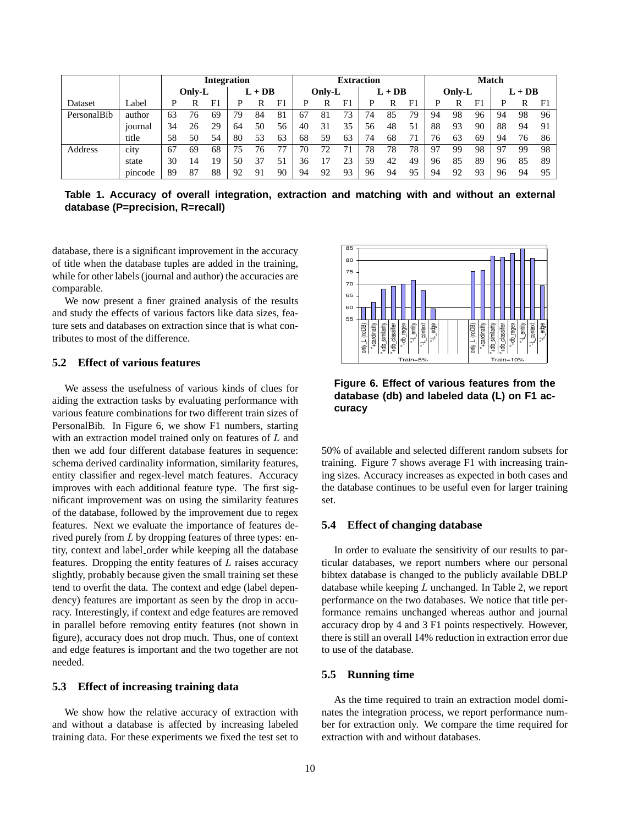|             |         | <b>Integration</b> |        |    |          |    |    | <b>Extraction</b> |    |    |          |    | <b>Match</b> |        |    |                |          |    |                |
|-------------|---------|--------------------|--------|----|----------|----|----|-------------------|----|----|----------|----|--------------|--------|----|----------------|----------|----|----------------|
|             |         |                    | Only-L |    | $L + DB$ |    |    | Only-L            |    |    | $L + DB$ |    |              | Only-L |    |                | $L + DB$ |    |                |
| Dataset     | Label   | D                  |        |    |          | R  |    |                   | R  |    |          | R  | F            | D      | R  | F <sup>1</sup> | D        | R  | F <sub>1</sub> |
| PersonalBib | author  | 63                 | 76     | 69 | 79       | 84 | 81 | 67                | 81 | 73 | 74       | 85 | 79           | 94     | 98 | 96             | 94       | 98 | 96             |
|             | journal | 34                 | 26     | 29 | 64       | 50 | 56 | 40                | 31 | 35 | 56       | 48 | 51           | 88     | 93 | 90             | 88       | 94 | 91             |
|             | title   | 58                 | 50     | 54 | 80       | 53 | 63 | 68                | 59 | 63 | 74       | 68 |              | 76     | 63 | 69             | 94       | 76 | 86             |
| Address     | city    | 67                 | 69     | 68 | 75       | 76 |    | 70                | 72 |    | 78       | 78 | 78           | -97    | 99 | 98             | 97       | 99 | 98             |
|             | state   | 30                 | 14     | 19 | 50       | 37 |    | 36                |    |    | 59       | 42 | 49           | 96     | 85 | 89             | 96       | 85 | 89             |
|             | pincode | 89                 | 87     | 88 | 92       | 91 | 90 | 94                | 92 | 93 | 96       | 94 | 95           | 94     | 92 | 93             | 96       | 94 | 95             |

**Table 1. Accuracy of overall integration, extraction and matching with and without an external database (P=precision, R=recall)**

database, there is a significant improvement in the accuracy of title when the database tuples are added in the training, while for other labels (journal and author) the accuracies are comparable.

We now present a finer grained analysis of the results and study the effects of various factors like data sizes, feature sets and databases on extraction since that is what contributes to most of the difference.

### **5.2 Effect of various features**

We assess the usefulness of various kinds of clues for aiding the extraction tasks by evaluating performance with various feature combinations for two different train sizes of PersonalBib. In Figure 6, we show F1 numbers, starting with an extraction model trained only on features of <sup>L</sup> and then we add four different database features in sequence: schema derived cardinality information, similarity features, entity classifier and regex-level match features. Accuracy improves with each additional feature type. The first significant improvement was on using the similarity features of the database, followed by the improvement due to regex features. Next we evaluate the importance of features derived purely from <sup>L</sup> by dropping features of three types: entity, context and label order while keeping all the database features. Dropping the entity features of  $L$  raises accuracy slightly, probably because given the small training set these tend to overfit the data. The context and edge (label dependency) features are important as seen by the drop in accuracy. Interestingly, if context and edge features are removed in parallel before removing entity features (not shown in figure), accuracy does not drop much. Thus, one of context and edge features is important and the two together are not needed.

#### **5.3 Effect of increasing training data**

We show how the relative accuracy of extraction with and without a database is affected by increasing labeled training data. For these experiments we fixed the test set to



**Figure 6. Effect of various features from the database (db) and labeled data (L) on F1 accuracy**

50% of available and selected different random subsets for training. Figure 7 shows average F1 with increasing training sizes. Accuracy increases as expected in both cases and the database continues to be useful even for larger training set.

#### **5.4 Effect of changing database**

In order to evaluate the sensitivity of our results to particular databases, we report numbers where our personal bibtex database is changed to the publicly available DBLP database while keeping  $L$  unchanged. In Table 2, we report performance on the two databases. We notice that title performance remains unchanged whereas author and journal accuracy drop by 4 and 3 F1 points respectively. However, there is still an overall 14% reduction in extraction error due to use of the database.

#### **5.5 Running time**

As the time required to train an extraction model dominates the integration process, we report performance number for extraction only. We compare the time required for extraction with and without databases.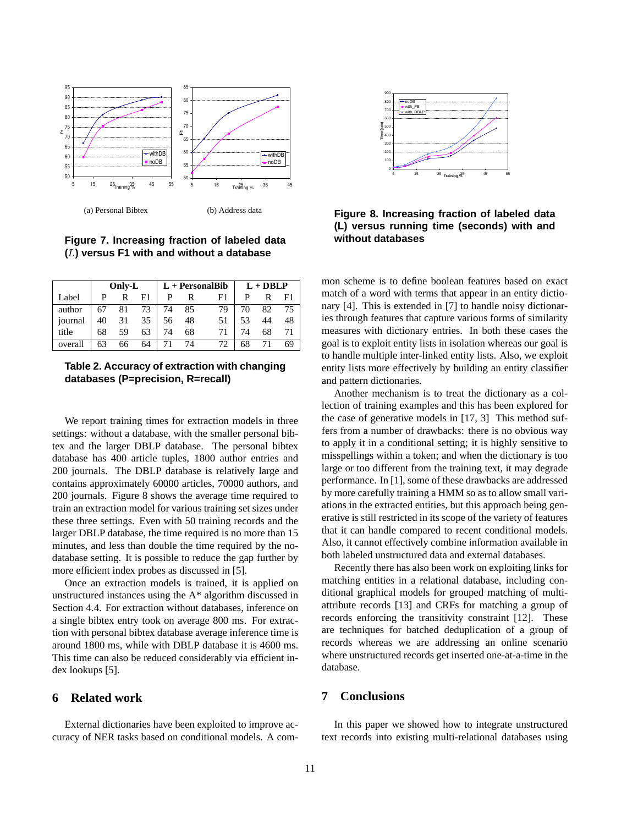

(a) Personal Bibtex

(b) Address data

**Figure 7. Increasing fraction of labeled data (**L**) versus F1 with and without a database**

|         |    | Only-L |     |    |    | $L +$ Personal Bib | $L + DBLP$ |    |    |  |
|---------|----|--------|-----|----|----|--------------------|------------|----|----|--|
| Label   | P  | R      | F1. | P  | R  | F1                 | P          | R  | F1 |  |
| author  |    | 67 81  | 73  | 74 | 85 | 79                 | 70         | 82 | 75 |  |
| journal | 40 | 31     | 35  | 56 | 48 | 51                 | 53         | 44 | 48 |  |
| title   | 68 | 59     | 63  | 74 | 68 | 71                 | 74         | 68 | 71 |  |
| overall | 63 | 66     | 64  | 71 | 74 | 72                 | 68         |    | 69 |  |

## **Table 2. Accuracy of extraction with changing databases (P=precision, R=recall)**

We report training times for extraction models in three settings: without a database, with the smaller personal bibtex and the larger DBLP database. The personal bibtex database has 400 article tuples, 1800 author entries and 200 journals. The DBLP database is relatively large and contains approximately 60000 articles, 70000 authors, and 200 journals. Figure 8 shows the average time required to train an extraction model for various training set sizes under these three settings. Even with 50 training records and the larger DBLP database, the time required is no more than 15 minutes, and less than double the time required by the nodatabase setting. It is possible to reduce the gap further by more efficient index probes as discussed in [5].

Once an extraction models is trained, it is applied on unstructured instances using the A\* algorithm discussed in Section 4.4. For extraction without databases, inference on a single bibtex entry took on average 800 ms. For extraction with personal bibtex database average inference time is around 1800 ms, while with DBLP database it is 4600 ms. This time can also be reduced considerably via efficient index lookups [5].

### **6 Related work**

External dictionaries have been exploited to improve accuracy of NER tasks based on conditional models. A com-



## **Figure 8. Increasing fraction of labeled data (L) versus running time (seconds) with and without databases**

mon scheme is to define boolean features based on exact match of a word with terms that appear in an entity dictionary [4]. This is extended in [7] to handle noisy dictionaries through features that capture various forms of similarity measures with dictionary entries. In both these cases the goal is to exploit entity lists in isolation whereas our goal is to handle multiple inter-linked entity lists. Also, we exploit entity lists more effectively by building an entity classifier and pattern dictionaries.

Another mechanism is to treat the dictionary as a collection of training examples and this has been explored for the case of generative models in [17, 3] This method suffers from a number of drawbacks: there is no obvious way to apply it in a conditional setting; it is highly sensitive to misspellings within a token; and when the dictionary is too large or too different from the training text, it may degrade performance. In [1], some of these drawbacks are addressed by more carefully training a HMM so as to allow small variations in the extracted entities, but this approach being generative is still restricted in its scope of the variety of features that it can handle compared to recent conditional models. Also, it cannot effectively combine information available in both labeled unstructured data and external databases.

Recently there has also been work on exploiting links for matching entities in a relational database, including conditional graphical models for grouped matching of multiattribute records [13] and CRFs for matching a group of records enforcing the transitivity constraint [12]. These are techniques for batched deduplication of a group of records whereas we are addressing an online scenario where unstructured records get inserted one-at-a-time in the database.

### **7 Conclusions**

In this paper we showed how to integrate unstructured text records into existing multi-relational databases using